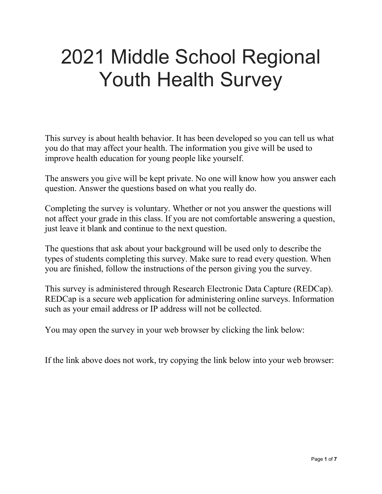# 2021 Middle School Regional Youth Health Survey

This survey is about health behavior. It has been developed so you can tell us what you do that may affect your health. The information you give will be used to improve health education for young people like yourself.

The answers you give will be kept private. No one will know how you answer each question. Answer the questions based on what you really do.

Completing the survey is voluntary. Whether or not you answer the questions will not affect your grade in this class. If you are not comfortable answering a question, just leave it blank and continue to the next question.

The questions that ask about your background will be used only to describe the types of students completing this survey. Make sure to read every question. When you are finished, follow the instructions of the person giving you the survey.

This survey is administered through Research Electronic Data Capture (REDCap). REDCap is a secure web application for administering online surveys. Information such as your email address or IP address will not be collected.

You may open the survey in your web browser by clicking the link below:

If the link above does not work, try copying the link below into your web browser: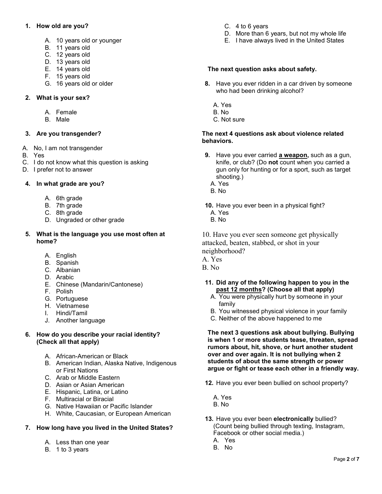# **1. How old are you?**

- A. 10 years old or younger
- B. 11 years old
- C. 12 years old
- D. 13 years old
- E. 14 years old
- F. 15 years old
- G. 16 years old or older

# **2. What is your sex?**

- A. Female
- B. Male

# **3. Are you transgender?**

- A. No, I am not transgender
- B. Yes
- C. I do not know what this question is asking
- D. I prefer not to answer

## **4. In what grade are you?**

- A. 6th grade
- B. 7th grade
- C. 8th grade
- D. Ungraded or other grade

## **5. What is the language you use most often at home?**

- A. English
- B. Spanish
- C. Albanian
- D. Arabic
- E. Chinese (Mandarin/Cantonese)
- F. Polish
- G. Portuguese
- H. Vietnamese
- I. Hindi/Tamil
- J. Another language

## **6. How do you describe your racial identity? (Check all that apply)**

- A. African-American or Black
- B. American Indian, Alaska Native, Indigenous or First Nations
- C. Arab or Middle Eastern
- D. Asian or Asian American
- E. Hispanic, Latina, or Latino
- F. Multiracial or Biracial
- G. Native Hawaiian or Pacific Islander
- H. White, Caucasian, or European American

# **7. How long have you lived in the United States?**

- A. Less than one year
- B. 1 to 3 years
- C. 4 to 6 years
- D. More than 6 years, but not my whole life
- E. I have always lived in the United States

## **The next question asks about safety.**

- **8.** Have you ever ridden in a car driven by someone who had been drinking alcohol?
	- A. Yes
	- B. No
	- C. Not sure

#### **The next 4 questions ask about violence related behaviors.**

- **9.** Have you ever carried **a weapon,** such as a gun, knife, or club? (Do **not** count when you carried a gun only for hunting or for a sport, such as target shooting.)
	- A. Yes
	- B. No
- **10.** Have you ever been in a physical fight? A. Yes
	- B. No

10. Have you ever seen someone get physically attacked, beaten, stabbed, or shot in your neighborhood?

- A. Yes
- B. No

# **11. Did any of the following happen to you in the past 12 months? (Choose all that apply)**

- A. You were physically hurt by someone in your family
- B. You witnessed physical violence in your family
- C. Neither of the above happened to me

**The next 3 questions ask about bullying. Bullying is when 1 or more students tease, threaten, spread rumors about, hit, shove, or hurt another student over and over again. It is not bullying when 2 students of about the same strength or power argue or fight or tease each other in a friendly way.**

- **12.** Have you ever been bullied on school property?
	- A. Yes
	- B. No
- **13.** Have you ever been **electronically** bullied? (Count being bullied through texting, Instagram, Facebook or other social media.)
	- A. Yes B. No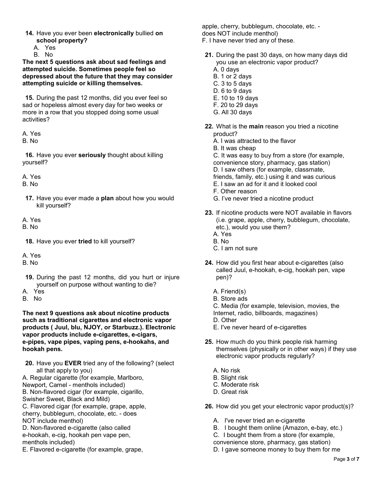- **14.** Have you ever been **electronically** bullied **on school property?** 
	- A. Yes

B. No

**The next 5 questions ask about sad feelings and attempted suicide. Sometimes people feel so depressed about the future that they may consider attempting suicide or killing themselves.**

**15.** During the past 12 months, did you ever feel so sad or hopeless almost every day for two weeks or more in a row that you stopped doing some usual activities?

A. Yes

B. No

**16.** Have you ever **seriously** thought about killing yourself?

A. Yes

B. No

**17.** Have you ever made a **plan** about how you would kill yourself?

A. Yes

B. No

**18.** Have you ever **tried** to kill yourself?

A. Yes

B. No

- **19.** During the past 12 months, did you hurt or injure yourself on purpose without wanting to die?
- A. Yes

B. No

**The next 9 questions ask about nicotine products such as traditional cigarettes and electronic vapor products ( Juul, blu, NJOY, or Starbuzz.). Electronic vapor products include e-cigarettes, e-cigars, e-pipes, vape pipes, vaping pens, e-hookahs, and hookah pens.**

**20.** Have you **EVER** tried any of the following? (select all that apply to you)

A. Regular cigarette (for example, Marlboro, Newport, Camel - menthols included) B. Non-flavored cigar (for example, cigarillo, Swisher Sweet, Black and Mild) C. Flavored cigar (for example, grape, apple, cherry, bubblegum, chocolate, etc. - does NOT include menthol) D. Non-flavored e-cigarette (also called

e-hookah, e-cig, hookah pen vape pen, menthols included)

E. Flavored e-cigarette (for example, grape,

apple, cherry, bubblegum, chocolate, etc. does NOT include menthol) F. I have never tried any of these.

- **21.** During the past 30 days, on how many days did you use an electronic vapor product?
	- A. 0 days
	- B. 1 or 2 days
	- C. 3 to 5 days
	- D. 6 to 9 days
	- E. 10 to 19 days
	- F. 20 to 29 days
	- G. All 30 days
- **22.** What is the **main** reason you tried a nicotine product?
	- A. I was attracted to the flavor
	- B. It was cheap
	- C. It was easy to buy from a store (for example,
	- convenience story, pharmacy, gas station)
	- D. I saw others (for example, classmate,
	- friends, family, etc.) using it and was curious
	- E. I saw an ad for it and it looked cool
	- F. Other reason
	- G. I've never tried a nicotine product
- **23.** If nicotine products were NOT available in flavors (i.e. grape, apple, cherry, bubblegum, chocolate, etc.), would you use them? A. Yes
	- B. No
	- C. I am not sure
- **24.** How did you first hear about e-cigarettes (also called Juul, e-hookah, e-cig, hookah pen, vape pen)?
	- A. Friend(s)
	- B. Store ads
	- C. Media (for example, television, movies, the Internet, radio, billboards, magazines)
	- D. Other
	- E. I've never heard of e-cigarettes
- **25.** How much do you think people risk harming themselves (physically or in other ways) if they use electronic vapor products regularly?
	- A. No risk
	- B. Slight risk
	- C. Moderate risk
	- D. Great risk
- **26.** How did you get your electronic vapor product(s)?
	- A. I've never tried an e-cigarette
	- B. I bought them online (Amazon, e-bay, etc.)
	- C. I bought them from a store (for example,
	- convenience store, pharmacy, gas station)
	- D. I gave someone money to buy them for me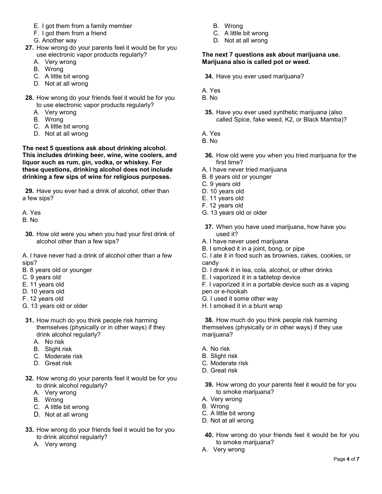- E. I got them from a family member
- F. I got them from a friend
- G. Another way
- **27.** How wrong do your parents feel it would be for you use electronic vapor products regularly?
	- A. Very wrong
	- B. Wrong
	- C. A little bit wrong
	- D. Not at all wrong
- **28.** How wrong do your friends feel it would be for you to use electronic vapor products regularly?
	- A. Very wrong
	- B. Wrong
	- C. A little bit wrong
	- D. Not at all wrong

**The next 5 questions ask about drinking alcohol. This includes drinking beer, wine, wine coolers, and liquor such as rum, gin, vodka, or whiskey. For these questions, drinking alcohol does not include drinking a few sips of wine for religious purposes.**

**29.** Have you ever had a drink of alcohol, other than a few sips?

A. Yes

- B. No
- **30.** How old were you when you had your first drink of alcohol other than a few sips?

A. I have never had a drink of alcohol other than a few sips?

- B. 8 years old or younger
- C. 9 years old
- E. 11 years old
- D. 10 years old
- F. 12 years old
- G. 13 years old or older
- **31.** How much do you think people risk harming themselves (physically or in other ways) if they drink alcohol regularly?
	- A. No risk
	- B. Slight risk
	- C. Moderate risk
	- D. Great risk
- **32.** How wrong do your parents feel it would be for you to drink alcohol regularly?
	- A. Very wrong
	- B. Wrong
	- C. A little bit wrong
	- D. Not at all wrong
- **33.** How wrong do your friends feel it would be for you to drink alcohol regularly?
	- A. Very wrong
- B. Wrong
- C. A little bit wrong
- D. Not at all wrong

## **The next 7 questions ask about marijuana use. Marijuana also is called pot or weed.**

**34.** Have you ever used marijuana?

- A. Yes
- B. No
- **35.** Have you ever used synthetic marijuana (also called Spice, fake weed, K2, or Black Mamba)?
- A. Yes
- B. No
- **36.** How old were you when you tried marijuana for the first time?
- A. I have never tried marijuana
- B. 8 years old or younger
- C. 9 years old
- D. 10 years old
- E. 11 years old
- F. 12 years old
- G. 13 years old or older
- **37.** When you have used marijuana, how have you used it?
- A. I have never used marijuana
- B. I smoked it in a joint, bong, or pipe
- C. I ate it in food such as brownies, cakes, cookies, or candy
- D. I drank it in tea, cola, alcohol, or other drinks
- E. I vaporized it in a tabletop device
- F. I vaporized it in a portable device such as a vaping pen or e-hookah
- G. I used it some other way
- H. I smoked it in a blunt wrap

**38.** How much do you think people risk harming themselves (physically or in other ways) if they use marijuana?

- A. No risk
- B. Slight risk
- C. Moderate risk
- D. Great risk
- **39.** How wrong do your parents feel it would be for you to smoke marijuana?
- A. Very wrong
- B. Wrong
- C. A little bit wrong
- D. Not at all wrong
- **40.** How wrong do your friends feel it would be for you to smoke marijuana?
- A. Very wrong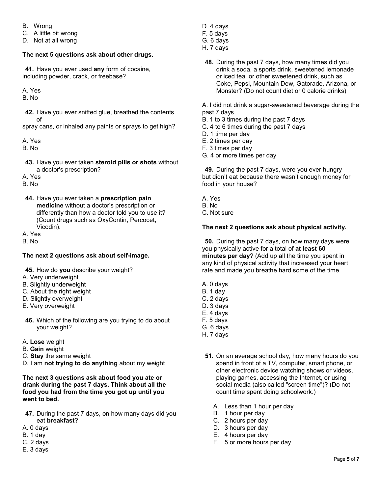- B. Wrong
- C. A little bit wrong
- D. Not at all wrong

# **The next 5 questions ask about other drugs.**

**41.** Have you ever used **any** form of cocaine, including powder, crack, or freebase?

## A. Yes

B. No

**42.** Have you ever sniffed glue, breathed the contents of

spray cans, or inhaled any paints or sprays to get high?

A. Yes

B. No

- **43.** Have you ever taken **steroid pills or shots** without a doctor's prescription?
- A. Yes
- B. No
- **44.** Have you ever taken a **prescription pain medicine** without a doctor's prescription or differently than how a doctor told you to use it? (Count drugs such as OxyContin, Percocet, Vicodin).

A. Yes

B. No

# **The next 2 questions ask about self-image.**

- **45.** How do **you** describe your weight?
- A. Very underweight
- B. Slightly underweight
- C. About the right weight
- D. Slightly overweight
- E. Very overweight
- **46.** Which of the following are you trying to do about your weight?
- A. **Lose** weight
- B. **Gain** weight
- C. **Stay** the same weight
- D. I am **not trying to do anything** about my weight

#### **The next 3 questions ask about food you ate or drank during the past 7 days. Think about all the food you had from the time you got up until you went to bed.**

- **47.** During the past 7 days, on how many days did you eat **breakfast**?
- A. 0 days
- B. 1 day
- C. 2 days
- E. 3 days
- D. 4 days
- F. 5 days
- G. 6 days
- H. 7 days
- **48.** During the past 7 days, how many times did you drink a soda, a sports drink, sweetened lemonade or iced tea, or other sweetened drink, such as Coke, Pepsi, Mountain Dew, Gatorade, Arizona, or Monster? (Do not count diet or 0 calorie drinks)

A. I did not drink a sugar-sweetened beverage during the past 7 days

- B. 1 to 3 times during the past 7 days
- C. 4 to 6 times during the past 7 days
- D. 1 time per day
- E. 2 times per day
- F. 3 times per day
- G. 4 or more times per day

**49.** During the past 7 days, were you ever hungry but didn't eat because there wasn't enough money for food in your house?

- A. Yes
- B. No
- C. Not sure

## **The next 2 questions ask about physical activity.**

**50.** During the past 7 days, on how many days were you physically active for a total of **at least 60 minutes per day**? (Add up all the time you spent in any kind of physical activity that increased your heart rate and made you breathe hard some of the time.

- A. 0 days
- B. 1 day
- C. 2 days
- D. 3 days
- E. 4 days
- F. 5 days
- G. 6 days H. 7 days
	-
- **51.** On an average school day, how many hours do you spend in front of a TV, computer, smart phone, or other electronic device watching shows or videos, playing games, accessing the Internet, or using social media (also called "screen time")? (Do not count time spent doing schoolwork.)
	- A. Less than 1 hour per day
	- B. 1 hour per day
	- C. 2 hours per day
	- D. 3 hours per day
	- E. 4 hours per day
	- F. 5 or more hours per day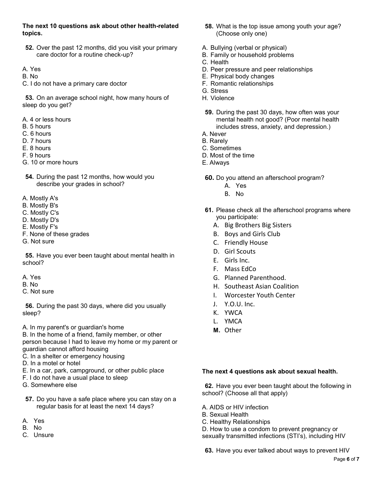## **The next 10 questions ask about other health-related topics.**

- **52.** Over the past 12 months, did you visit your primary care doctor for a routine check-up?
- A. Yes
- B. No
- C. I do not have a primary care doctor

**53.** On an average school night, how many hours of sleep do you get?

- A. 4 or less hours
- B. 5 hours
- C. 6 hours
- D. 7 hours
- E. 8 hours
- F. 9 hours
- G. 10 or more hours
- **54.** During the past 12 months, how would you describe your grades in school?
- A. Mostly A's
- B. Mostly B's
- C. Mostly C's
- D. Mostly D's
- E. Mostly F's
- F. None of these grades
- G. Not sure

**55.** Have you ever been taught about mental health in school?

- A. Yes
- B. No
- C. Not sure

**56.** During the past 30 days, where did you usually sleep?

A. In my parent's or guardian's home

B. In the home of a friend, family member, or other person because I had to leave my home or my parent or guardian cannot afford housing

- C. In a shelter or emergency housing
- D. In a motel or hotel
- E. In a car, park, campground, or other public place
- F. I do not have a usual place to sleep
- G. Somewhere else
- **57.** Do you have a safe place where you can stay on a regular basis for at least the next 14 days?
- A. Yes
- B. No
- C. Unsure
- **58.** What is the top issue among youth your age? (Choose only one)
- A. Bullying (verbal or physical)
- B. Family or household problems
- C. Health
- D. Peer pressure and peer relationships
- E. Physical body changes
- F. Romantic relationships
- G. Stress
- H. Violence
- **59.** During the past 30 days, how often was your mental health not good? (Poor mental health includes stress, anxiety, and depression.)
- A. Never
- B. Rarely
- C. Sometimes
- D. Most of the time
- E. Always
- **60.** Do you attend an afterschool program?
	- A. Yes
	- B. No
- **61.** Please check all the afterschool programs where you participate:
	- A. Big Brothers Big Sisters
	- B. Boys and Girls Club
	- C. Friendly House
	- D. Girl Scouts
	- E. Girls Inc.
	- F. Mass EdCo
	- G. Planned Parenthood.
	- H. Southeast Asian Coalition
	- I. Worcester Youth Center
	- J. Y.O.U. Inc.
	- K. YWCA
	- L. YMCA
	- **M.** Other

#### **The next 4 questions ask about sexual health.**

**62.** Have you ever been taught about the following in school? (Choose all that apply)

A. AIDS or HIV infection

- B. Sexual Health
- C. Healthy Relationships

D. How to use a condom to prevent pregnancy or sexually transmitted infections (STI's), including HIV

**63.** Have you ever talked about ways to prevent HIV